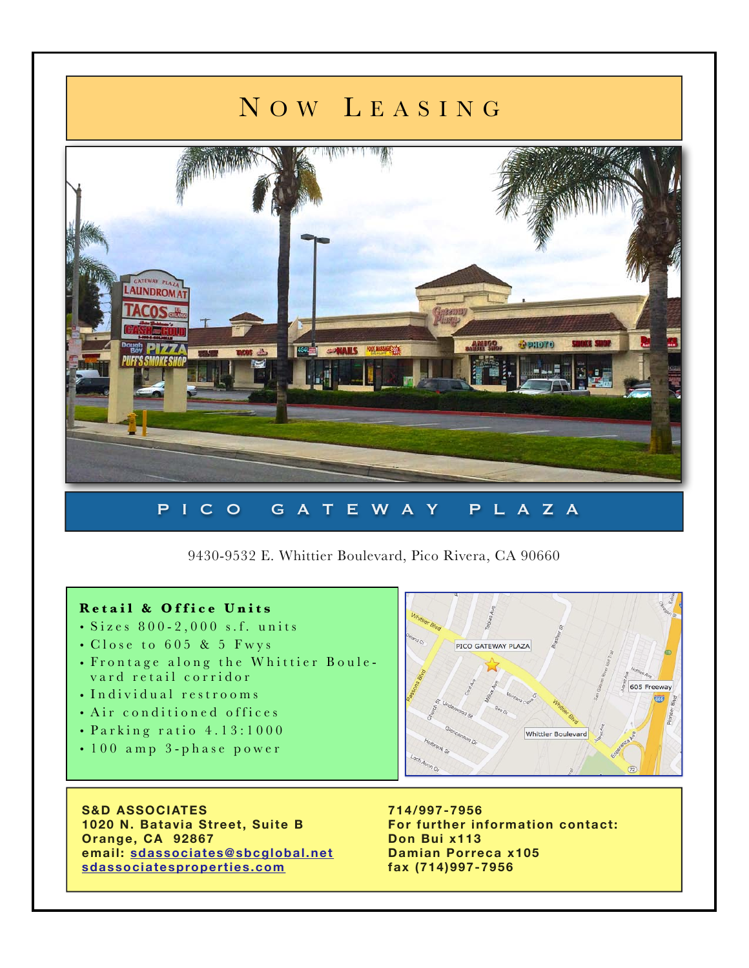## N O W L EASING



9430-9532 E. Whittier Boulevard, Pico Rivera, CA 90660

## **Retail & Office Units**

- Sizes 800-2,000 s.f. units
- Close to 605 & 5 Fwys
- Frontage along the Whittier Boule vard retail corridor
- Individual restrooms
- Air conditioned offices
- Parking ratio 4.13:1000
- 100 amp 3-phase power

**S&D ASSOCIATES 1020 N. Batavia Street, Suite B Orange, CA 92867 email: [sdassociates@sbcglobal.net](mailto:sdassociates@sbcglobal.net) [sdassociatesproperties.com](http://sdassociatesproperties.com)**



**714/997-7956 For further information contact: Don Bui x113 Damian Porreca x105 fax (714)997-7956**